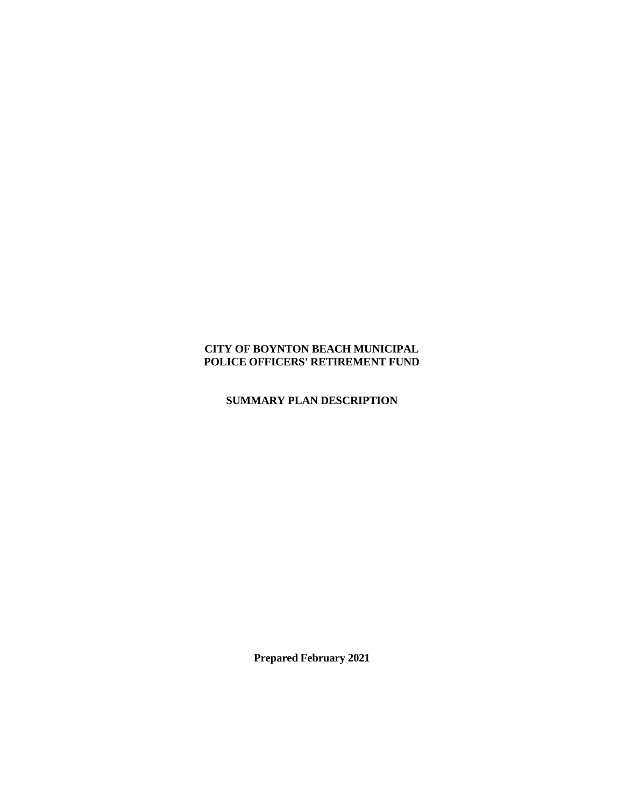# **CITY OF BOYNTON BEACH MUNICIPAL POLICE OFFICERS' RETIREMENT FUND**

**SUMMARY PLAN DESCRIPTION**

**Prepared February 2021**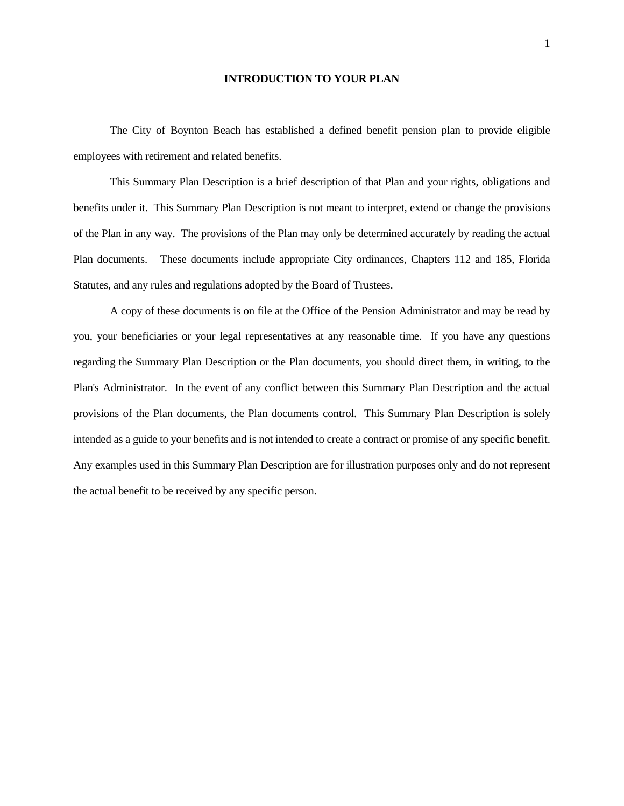## **INTRODUCTION TO YOUR PLAN**

The City of Boynton Beach has established a defined benefit pension plan to provide eligible employees with retirement and related benefits.

This Summary Plan Description is a brief description of that Plan and your rights, obligations and benefits under it. This Summary Plan Description is not meant to interpret, extend or change the provisions of the Plan in any way. The provisions of the Plan may only be determined accurately by reading the actual Plan documents. These documents include appropriate City ordinances, Chapters 112 and 185, Florida Statutes, and any rules and regulations adopted by the Board of Trustees.

A copy of these documents is on file at the Office of the Pension Administrator and may be read by you, your beneficiaries or your legal representatives at any reasonable time. If you have any questions regarding the Summary Plan Description or the Plan documents, you should direct them, in writing, to the Plan's Administrator. In the event of any conflict between this Summary Plan Description and the actual provisions of the Plan documents, the Plan documents control. This Summary Plan Description is solely intended as a guide to your benefits and is not intended to create a contract or promise of any specific benefit. Any examples used in this Summary Plan Description are for illustration purposes only and do not represent the actual benefit to be received by any specific person.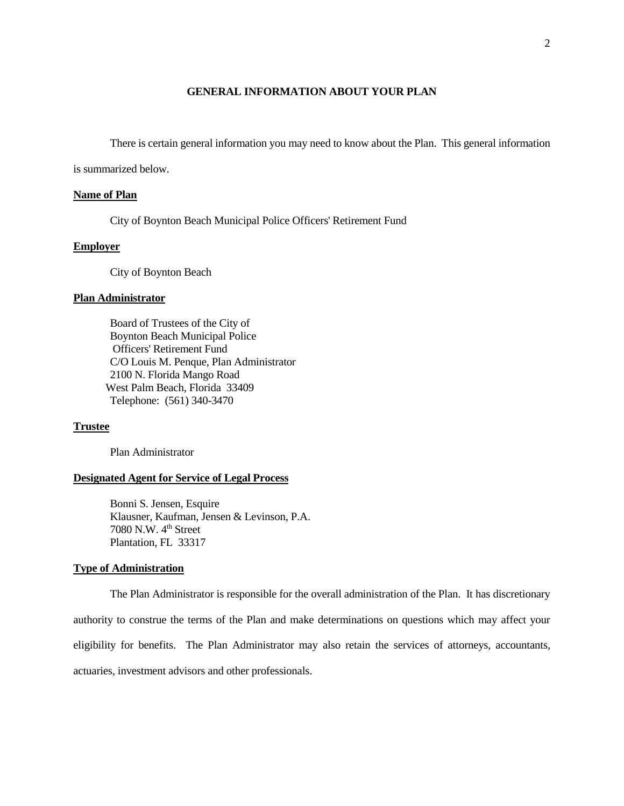## **GENERAL INFORMATION ABOUT YOUR PLAN**

There is certain general information you may need to know about the Plan. This general information

is summarized below.

#### **Name of Plan**

City of Boynton Beach Municipal Police Officers' Retirement Fund

### **Employer**

City of Boynton Beach

#### **Plan Administrator**

Board of Trustees of the City of Boynton Beach Municipal Police Officers' Retirement Fund C/O Louis M. Penque, Plan Administrator 2100 N. Florida Mango Road West Palm Beach, Florida 33409 Telephone: (561) 340-3470

### **Trustee**

Plan Administrator

### **Designated Agent for Service of Legal Process**

Bonni S. Jensen, Esquire Klausner, Kaufman, Jensen & Levinson, P.A. 7080 N.W. 4th Street Plantation, FL 33317

### **Type of Administration**

The Plan Administrator is responsible for the overall administration of the Plan. It has discretionary authority to construe the terms of the Plan and make determinations on questions which may affect your eligibility for benefits. The Plan Administrator may also retain the services of attorneys, accountants, actuaries, investment advisors and other professionals.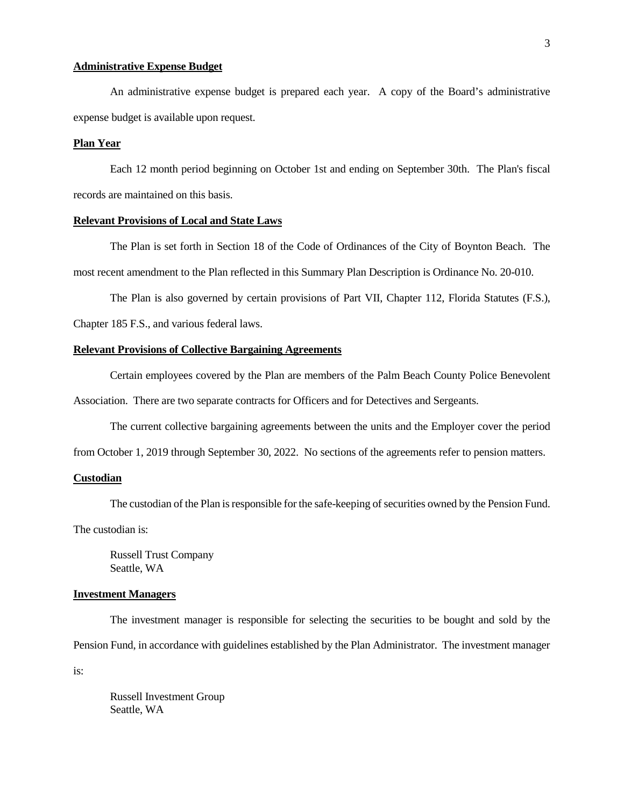## **Administrative Expense Budget**

An administrative expense budget is prepared each year. A copy of the Board's administrative expense budget is available upon request.

## **Plan Year**

Each 12 month period beginning on October 1st and ending on September 30th. The Plan's fiscal records are maintained on this basis.

#### **Relevant Provisions of Local and State Laws**

The Plan is set forth in Section 18 of the Code of Ordinances of the City of Boynton Beach. The most recent amendment to the Plan reflected in this Summary Plan Description is Ordinance No. 20-010.

The Plan is also governed by certain provisions of Part VII, Chapter 112, Florida Statutes (F.S.),

Chapter 185 F.S., and various federal laws.

## **Relevant Provisions of Collective Bargaining Agreements**

Certain employees covered by the Plan are members of the Palm Beach County Police Benevolent Association. There are two separate contracts for Officers and for Detectives and Sergeants.

The current collective bargaining agreements between the units and the Employer cover the period

from October 1, 2019 through September 30, 2022. No sections of the agreements refer to pension matters.

## **Custodian**

The custodian of the Plan is responsible for the safe-keeping of securities owned by the Pension Fund.

The custodian is:

Russell Trust Company Seattle, WA

#### **Investment Managers**

The investment manager is responsible for selecting the securities to be bought and sold by the Pension Fund, in accordance with guidelines established by the Plan Administrator. The investment manager is:

Russell Investment Group Seattle, WA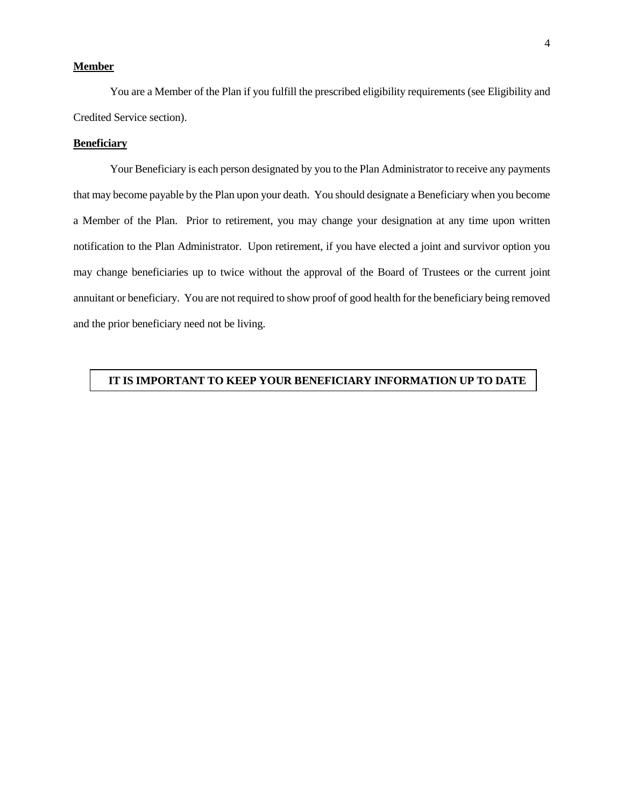## **Member**

You are a Member of the Plan if you fulfill the prescribed eligibility requirements (see Eligibility and Credited Service section).

## **Beneficiary**

Your Beneficiary is each person designated by you to the Plan Administrator to receive any payments that may become payable by the Plan upon your death. You should designate a Beneficiary when you become a Member of the Plan. Prior to retirement, you may change your designation at any time upon written notification to the Plan Administrator. Upon retirement, if you have elected a joint and survivor option you may change beneficiaries up to twice without the approval of the Board of Trustees or the current joint annuitant or beneficiary. You are not required to show proof of good health for the beneficiary being removed and the prior beneficiary need not be living.

## **IT IS IMPORTANT TO KEEP YOUR BENEFICIARY INFORMATION UP TO DATE**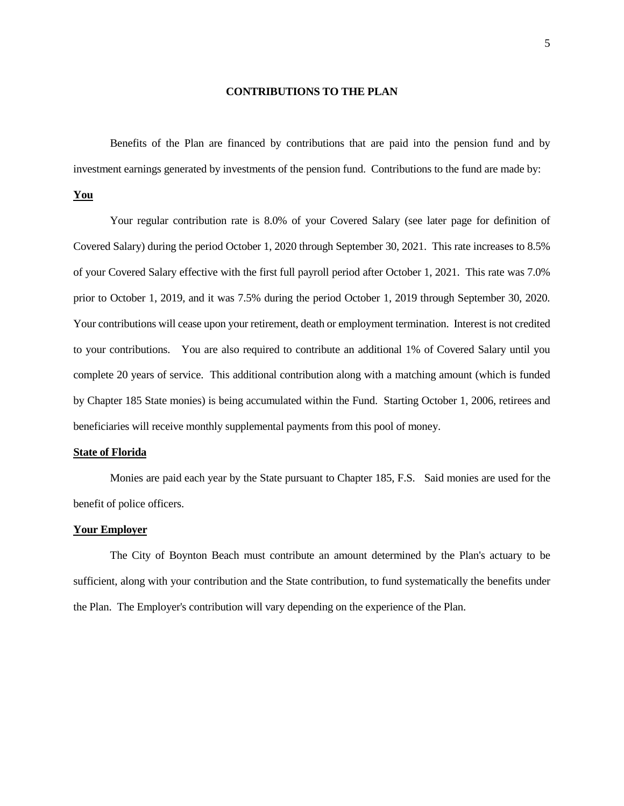## **CONTRIBUTIONS TO THE PLAN**

Benefits of the Plan are financed by contributions that are paid into the pension fund and by investment earnings generated by investments of the pension fund. Contributions to the fund are made by:

## **You**

Your regular contribution rate is 8.0% of your Covered Salary (see later page for definition of Covered Salary) during the period October 1, 2020 through September 30, 2021. This rate increases to 8.5% of your Covered Salary effective with the first full payroll period after October 1, 2021. This rate was 7.0% prior to October 1, 2019, and it was 7.5% during the period October 1, 2019 through September 30, 2020. Your contributions will cease upon your retirement, death or employment termination. Interest is not credited to your contributions. You are also required to contribute an additional 1% of Covered Salary until you complete 20 years of service. This additional contribution along with a matching amount (which is funded by Chapter 185 State monies) is being accumulated within the Fund. Starting October 1, 2006, retirees and beneficiaries will receive monthly supplemental payments from this pool of money.

### **State of Florida**

Monies are paid each year by the State pursuant to Chapter 185, F.S. Said monies are used for the benefit of police officers.

#### **Your Employer**

The City of Boynton Beach must contribute an amount determined by the Plan's actuary to be sufficient, along with your contribution and the State contribution, to fund systematically the benefits under the Plan. The Employer's contribution will vary depending on the experience of the Plan.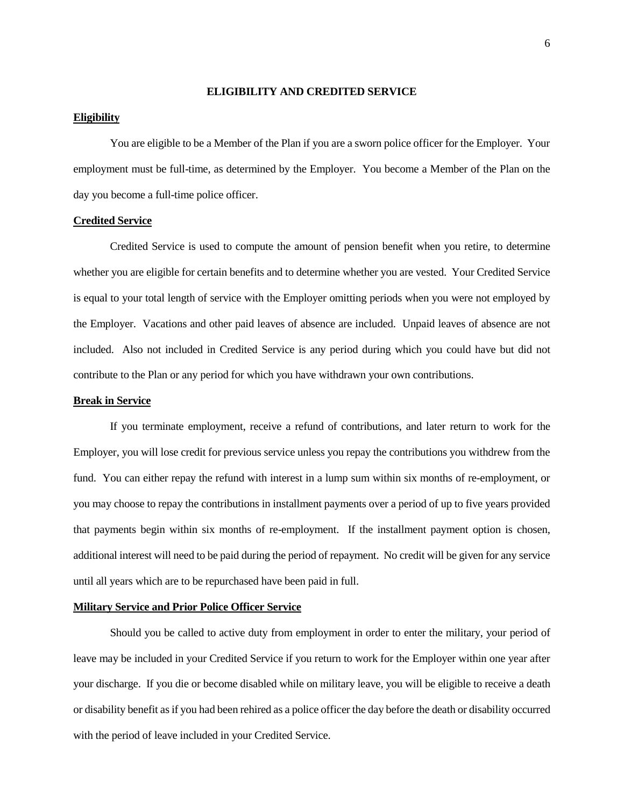#### **ELIGIBILITY AND CREDITED SERVICE**

#### **Eligibility**

You are eligible to be a Member of the Plan if you are a sworn police officer for the Employer. Your employment must be full-time, as determined by the Employer. You become a Member of the Plan on the day you become a full-time police officer.

### **Credited Service**

Credited Service is used to compute the amount of pension benefit when you retire, to determine whether you are eligible for certain benefits and to determine whether you are vested. Your Credited Service is equal to your total length of service with the Employer omitting periods when you were not employed by the Employer. Vacations and other paid leaves of absence are included. Unpaid leaves of absence are not included. Also not included in Credited Service is any period during which you could have but did not contribute to the Plan or any period for which you have withdrawn your own contributions.

### **Break in Service**

If you terminate employment, receive a refund of contributions, and later return to work for the Employer, you will lose credit for previous service unless you repay the contributions you withdrew from the fund. You can either repay the refund with interest in a lump sum within six months of re-employment, or you may choose to repay the contributions in installment payments over a period of up to five years provided that payments begin within six months of re-employment. If the installment payment option is chosen, additional interest will need to be paid during the period of repayment. No credit will be given for any service until all years which are to be repurchased have been paid in full.

#### **Military Service and Prior Police Officer Service**

Should you be called to active duty from employment in order to enter the military, your period of leave may be included in your Credited Service if you return to work for the Employer within one year after your discharge. If you die or become disabled while on military leave, you will be eligible to receive a death or disability benefit as if you had been rehired as a police officer the day before the death or disability occurred with the period of leave included in your Credited Service.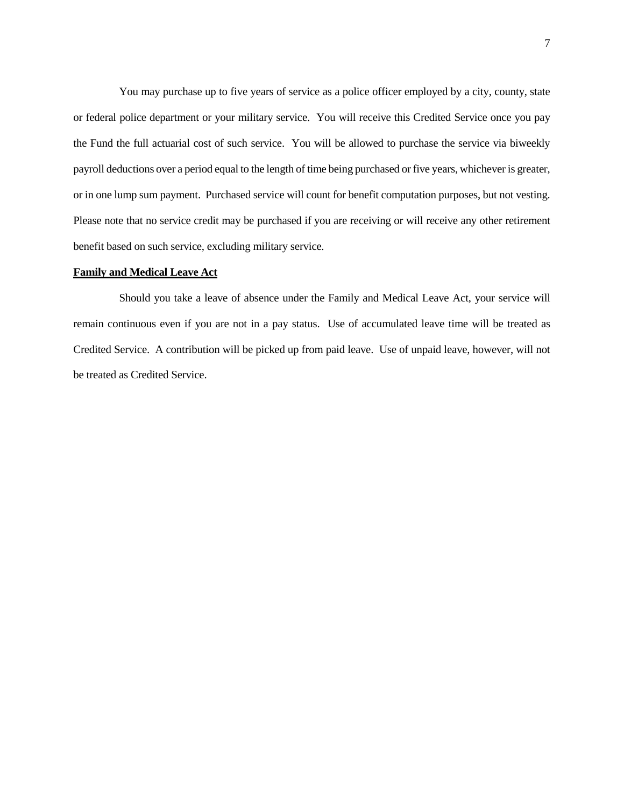You may purchase up to five years of service as a police officer employed by a city, county, state or federal police department or your military service. You will receive this Credited Service once you pay the Fund the full actuarial cost of such service. You will be allowed to purchase the service via biweekly payroll deductions over a period equal to the length of time being purchased or five years, whichever is greater, or in one lump sum payment. Purchased service will count for benefit computation purposes, but not vesting. Please note that no service credit may be purchased if you are receiving or will receive any other retirement benefit based on such service, excluding military service.

#### **Family and Medical Leave Act**

Should you take a leave of absence under the Family and Medical Leave Act, your service will remain continuous even if you are not in a pay status. Use of accumulated leave time will be treated as Credited Service. A contribution will be picked up from paid leave. Use of unpaid leave, however, will not be treated as Credited Service.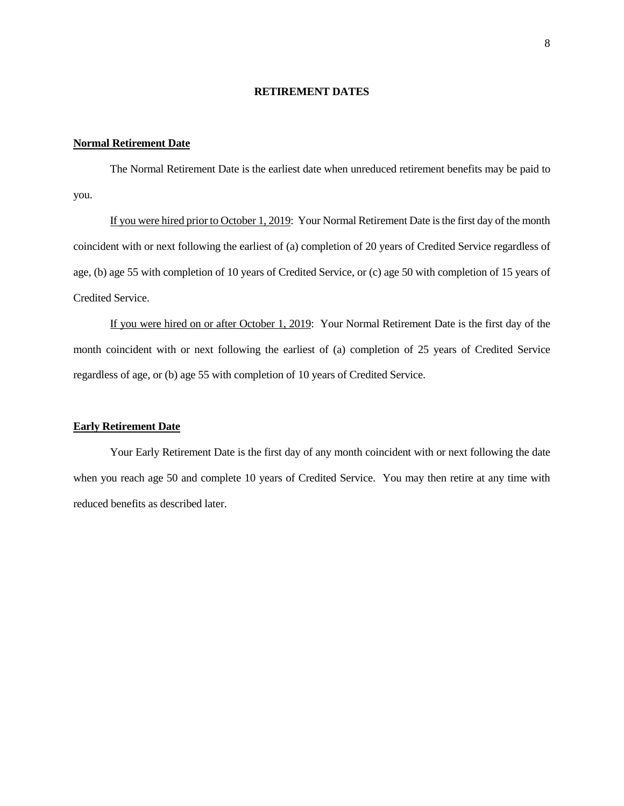## **RETIREMENT DATES**

#### **Normal Retirement Date**

The Normal Retirement Date is the earliest date when unreduced retirement benefits may be paid to you.

If you were hired prior to October 1, 2019: Your Normal Retirement Date is the first day of the month coincident with or next following the earliest of (a) completion of 20 years of Credited Service regardless of age, (b) age 55 with completion of 10 years of Credited Service, or (c) age 50 with completion of 15 years of Credited Service.

If you were hired on or after October 1, 2019: Your Normal Retirement Date is the first day of the month coincident with or next following the earliest of (a) completion of 25 years of Credited Service regardless of age, or (b) age 55 with completion of 10 years of Credited Service.

## **Early Retirement Date**

Your Early Retirement Date is the first day of any month coincident with or next following the date when you reach age 50 and complete 10 years of Credited Service. You may then retire at any time with reduced benefits as described later.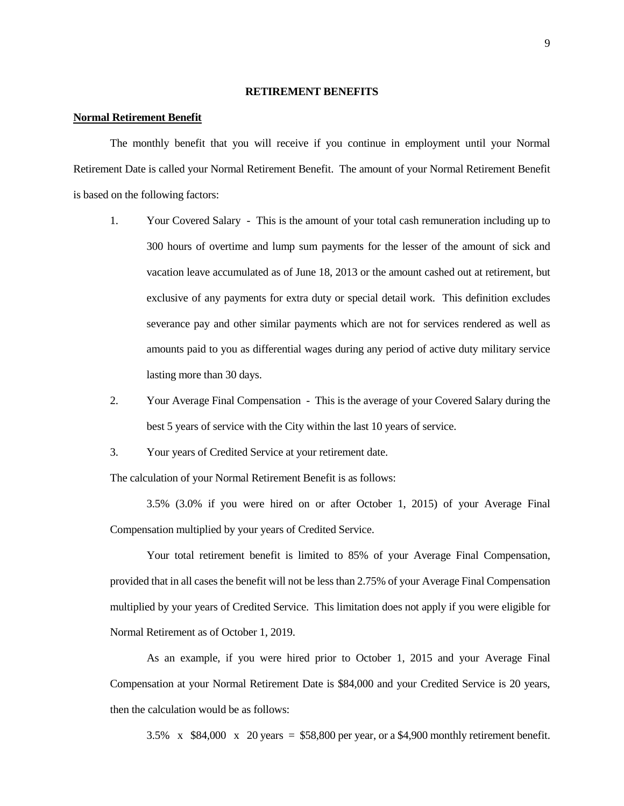#### **RETIREMENT BENEFITS**

#### **Normal Retirement Benefit**

The monthly benefit that you will receive if you continue in employment until your Normal Retirement Date is called your Normal Retirement Benefit. The amount of your Normal Retirement Benefit is based on the following factors:

- 1. Your Covered Salary This is the amount of your total cash remuneration including up to 300 hours of overtime and lump sum payments for the lesser of the amount of sick and vacation leave accumulated as of June 18, 2013 or the amount cashed out at retirement, but exclusive of any payments for extra duty or special detail work. This definition excludes severance pay and other similar payments which are not for services rendered as well as amounts paid to you as differential wages during any period of active duty military service lasting more than 30 days.
- 2. Your Average Final Compensation This is the average of your Covered Salary during the best 5 years of service with the City within the last 10 years of service.
- 3. Your years of Credited Service at your retirement date.

The calculation of your Normal Retirement Benefit is as follows:

3.5% (3.0% if you were hired on or after October 1, 2015) of your Average Final Compensation multiplied by your years of Credited Service.

Your total retirement benefit is limited to 85% of your Average Final Compensation, provided that in all cases the benefit will not be less than 2.75% of your Average Final Compensation multiplied by your years of Credited Service. This limitation does not apply if you were eligible for Normal Retirement as of October 1, 2019.

As an example, if you were hired prior to October 1, 2015 and your Average Final Compensation at your Normal Retirement Date is \$84,000 and your Credited Service is 20 years, then the calculation would be as follows:

3.5% x  $$84,000 \times 20 \text{ years} = $58,800 \text{ per year, or a $4,900 monthly retirement benefit.}$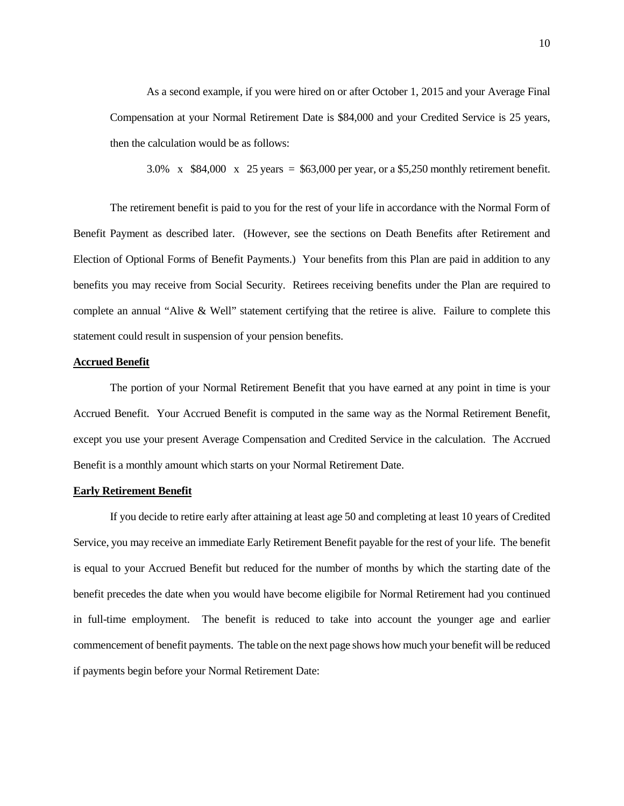As a second example, if you were hired on or after October 1, 2015 and your Average Final Compensation at your Normal Retirement Date is \$84,000 and your Credited Service is 25 years, then the calculation would be as follows:

 $3.0\%$  x \$84,000 x 25 years = \$63,000 per year, or a \$5,250 monthly retirement benefit.

The retirement benefit is paid to you for the rest of your life in accordance with the Normal Form of Benefit Payment as described later. (However, see the sections on Death Benefits after Retirement and Election of Optional Forms of Benefit Payments.) Your benefits from this Plan are paid in addition to any benefits you may receive from Social Security. Retirees receiving benefits under the Plan are required to complete an annual "Alive & Well" statement certifying that the retiree is alive. Failure to complete this statement could result in suspension of your pension benefits.

#### **Accrued Benefit**

The portion of your Normal Retirement Benefit that you have earned at any point in time is your Accrued Benefit. Your Accrued Benefit is computed in the same way as the Normal Retirement Benefit, except you use your present Average Compensation and Credited Service in the calculation. The Accrued Benefit is a monthly amount which starts on your Normal Retirement Date.

#### **Early Retirement Benefit**

If you decide to retire early after attaining at least age 50 and completing at least 10 years of Credited Service, you may receive an immediate Early Retirement Benefit payable for the rest of your life. The benefit is equal to your Accrued Benefit but reduced for the number of months by which the starting date of the benefit precedes the date when you would have become eligibile for Normal Retirement had you continued in full-time employment. The benefit is reduced to take into account the younger age and earlier commencement of benefit payments. The table on the next page shows how much your benefit will be reduced if payments begin before your Normal Retirement Date: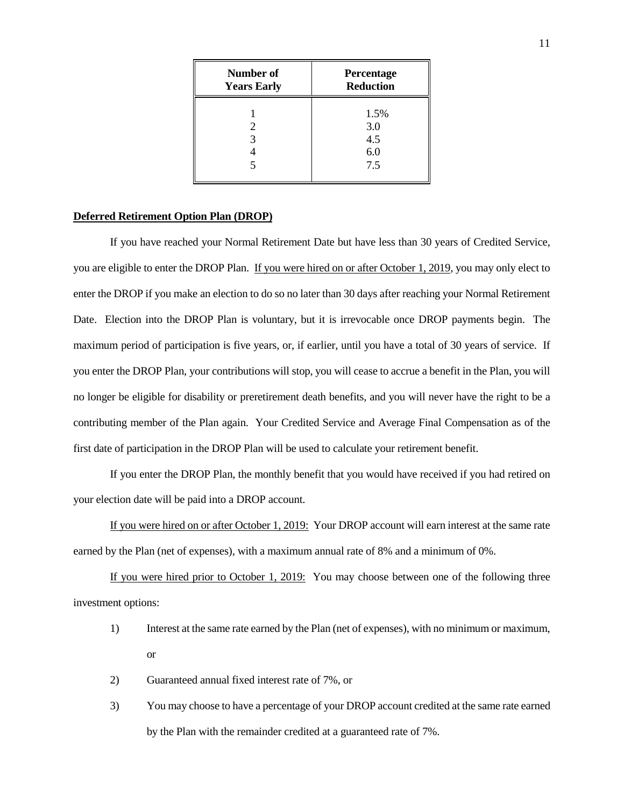| Number of          | Percentage                       |  |  |
|--------------------|----------------------------------|--|--|
| <b>Years Early</b> | <b>Reduction</b>                 |  |  |
| 2                  | 1.5%<br>3.0<br>4.5<br>6.0<br>7.5 |  |  |

#### **Deferred Retirement Option Plan (DROP)**

If you have reached your Normal Retirement Date but have less than 30 years of Credited Service, you are eligible to enter the DROP Plan. If you were hired on or after October 1, 2019, you may only elect to enter the DROP if you make an election to do so no later than 30 days after reaching your Normal Retirement Date. Election into the DROP Plan is voluntary, but it is irrevocable once DROP payments begin. The maximum period of participation is five years, or, if earlier, until you have a total of 30 years of service. If you enter the DROP Plan, your contributions will stop, you will cease to accrue a benefit in the Plan, you will no longer be eligible for disability or preretirement death benefits, and you will never have the right to be a contributing member of the Plan again. Your Credited Service and Average Final Compensation as of the first date of participation in the DROP Plan will be used to calculate your retirement benefit.

If you enter the DROP Plan, the monthly benefit that you would have received if you had retired on your election date will be paid into a DROP account.

If you were hired on or after October 1, 2019: Your DROP account will earn interest at the same rate earned by the Plan (net of expenses), with a maximum annual rate of 8% and a minimum of 0%.

If you were hired prior to October 1, 2019: You may choose between one of the following three investment options:

- 1) Interest at the same rate earned by the Plan (net of expenses), with no minimum or maximum, or
- 2) Guaranteed annual fixed interest rate of 7%, or
- 3) You may choose to have a percentage of your DROP account credited at the same rate earned by the Plan with the remainder credited at a guaranteed rate of 7%.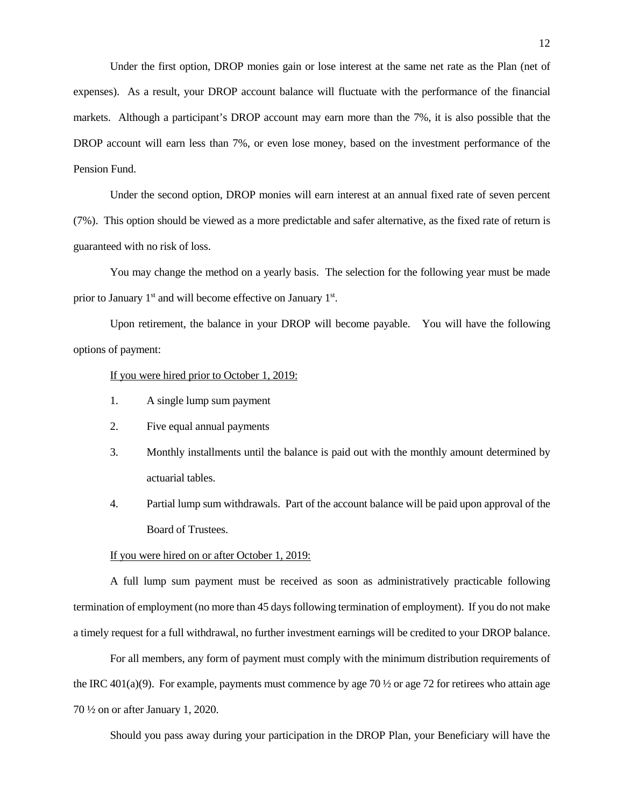Under the first option, DROP monies gain or lose interest at the same net rate as the Plan (net of expenses). As a result, your DROP account balance will fluctuate with the performance of the financial markets. Although a participant's DROP account may earn more than the 7%, it is also possible that the DROP account will earn less than 7%, or even lose money, based on the investment performance of the Pension Fund.

Under the second option, DROP monies will earn interest at an annual fixed rate of seven percent (7%). This option should be viewed as a more predictable and safer alternative, as the fixed rate of return is guaranteed with no risk of loss.

You may change the method on a yearly basis. The selection for the following year must be made prior to January  $1<sup>st</sup>$  and will become effective on January  $1<sup>st</sup>$ .

Upon retirement, the balance in your DROP will become payable. You will have the following options of payment:

### If you were hired prior to October 1, 2019:

- 1. A single lump sum payment
- 2. Five equal annual payments
- 3. Monthly installments until the balance is paid out with the monthly amount determined by actuarial tables.
- 4. Partial lump sum withdrawals. Part of the account balance will be paid upon approval of the Board of Trustees.

#### If you were hired on or after October 1, 2019:

A full lump sum payment must be received as soon as administratively practicable following termination of employment (no more than 45 days following termination of employment). If you do not make a timely request for a full withdrawal, no further investment earnings will be credited to your DROP balance.

For all members, any form of payment must comply with the minimum distribution requirements of the IRC 401(a)(9). For example, payments must commence by age 70  $\frac{1}{2}$  or age 72 for retirees who attain age 70 ½ on or after January 1, 2020.

Should you pass away during your participation in the DROP Plan, your Beneficiary will have the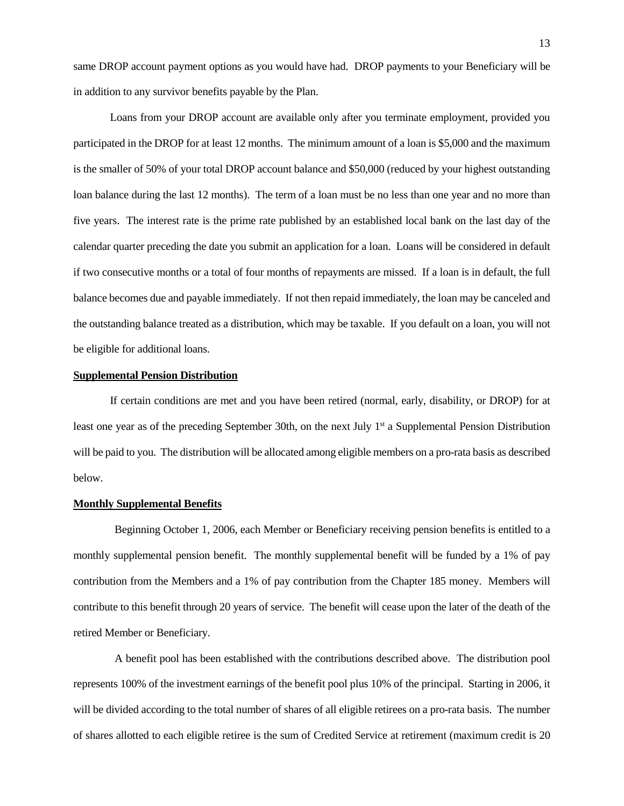same DROP account payment options as you would have had. DROP payments to your Beneficiary will be in addition to any survivor benefits payable by the Plan.

Loans from your DROP account are available only after you terminate employment, provided you participated in the DROP for at least 12 months. The minimum amount of a loan is \$5,000 and the maximum is the smaller of 50% of your total DROP account balance and \$50,000 (reduced by your highest outstanding loan balance during the last 12 months). The term of a loan must be no less than one year and no more than five years. The interest rate is the prime rate published by an established local bank on the last day of the calendar quarter preceding the date you submit an application for a loan. Loans will be considered in default if two consecutive months or a total of four months of repayments are missed. If a loan is in default, the full balance becomes due and payable immediately. If not then repaid immediately, the loan may be canceled and the outstanding balance treated as a distribution, which may be taxable. If you default on a loan, you will not be eligible for additional loans.

#### **Supplemental Pension Distribution**

If certain conditions are met and you have been retired (normal, early, disability, or DROP) for at least one year as of the preceding September 30th, on the next July  $1<sup>st</sup>$  a Supplemental Pension Distribution will be paid to you. The distribution will be allocated among eligible members on a pro-rata basis as described below.

## **Monthly Supplemental Benefits**

Beginning October 1, 2006, each Member or Beneficiary receiving pension benefits is entitled to a monthly supplemental pension benefit. The monthly supplemental benefit will be funded by a 1% of pay contribution from the Members and a 1% of pay contribution from the Chapter 185 money. Members will contribute to this benefit through 20 years of service. The benefit will cease upon the later of the death of the retired Member or Beneficiary.

A benefit pool has been established with the contributions described above. The distribution pool represents 100% of the investment earnings of the benefit pool plus 10% of the principal. Starting in 2006, it will be divided according to the total number of shares of all eligible retirees on a pro-rata basis. The number of shares allotted to each eligible retiree is the sum of Credited Service at retirement (maximum credit is 20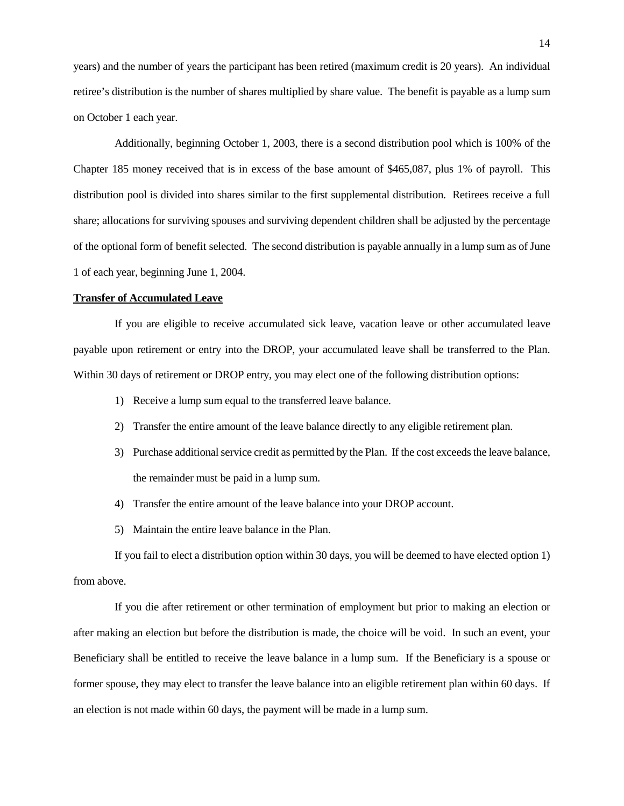years) and the number of years the participant has been retired (maximum credit is 20 years). An individual retiree's distribution is the number of shares multiplied by share value. The benefit is payable as a lump sum on October 1 each year.

Additionally, beginning October 1, 2003, there is a second distribution pool which is 100% of the Chapter 185 money received that is in excess of the base amount of \$465,087, plus 1% of payroll. This distribution pool is divided into shares similar to the first supplemental distribution. Retirees receive a full share; allocations for surviving spouses and surviving dependent children shall be adjusted by the percentage of the optional form of benefit selected. The second distribution is payable annually in a lump sum as of June 1 of each year, beginning June 1, 2004.

#### **Transfer of Accumulated Leave**

If you are eligible to receive accumulated sick leave, vacation leave or other accumulated leave payable upon retirement or entry into the DROP, your accumulated leave shall be transferred to the Plan. Within 30 days of retirement or DROP entry, you may elect one of the following distribution options:

- 1) Receive a lump sum equal to the transferred leave balance.
- 2) Transfer the entire amount of the leave balance directly to any eligible retirement plan.
- 3) Purchase additional service credit as permitted by the Plan. If the cost exceeds the leave balance, the remainder must be paid in a lump sum.
- 4) Transfer the entire amount of the leave balance into your DROP account.
- 5) Maintain the entire leave balance in the Plan.

If you fail to elect a distribution option within 30 days, you will be deemed to have elected option 1) from above.

If you die after retirement or other termination of employment but prior to making an election or after making an election but before the distribution is made, the choice will be void. In such an event, your Beneficiary shall be entitled to receive the leave balance in a lump sum. If the Beneficiary is a spouse or former spouse, they may elect to transfer the leave balance into an eligible retirement plan within 60 days. If an election is not made within 60 days, the payment will be made in a lump sum.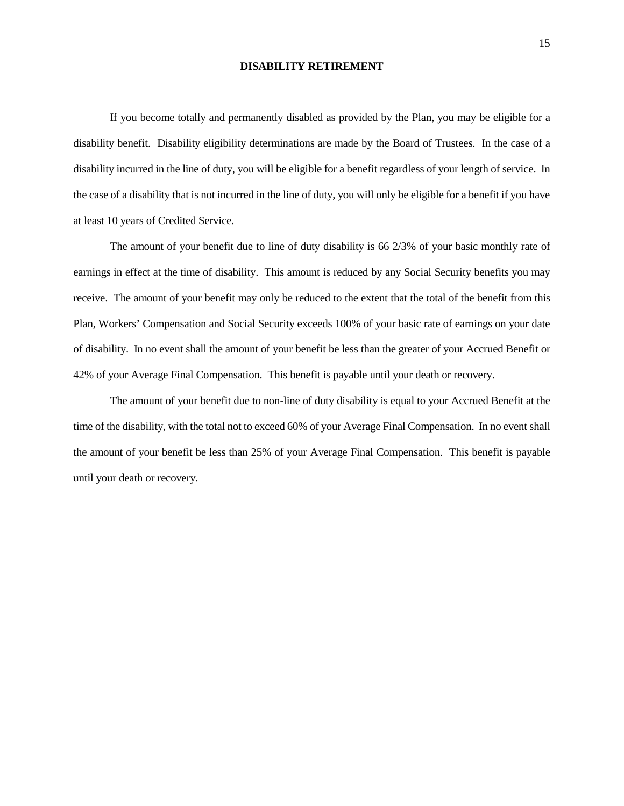## **DISABILITY RETIREMENT**

If you become totally and permanently disabled as provided by the Plan, you may be eligible for a disability benefit. Disability eligibility determinations are made by the Board of Trustees. In the case of a disability incurred in the line of duty, you will be eligible for a benefit regardless of your length of service. In the case of a disability that is not incurred in the line of duty, you will only be eligible for a benefit if you have at least 10 years of Credited Service.

The amount of your benefit due to line of duty disability is 66 2/3% of your basic monthly rate of earnings in effect at the time of disability. This amount is reduced by any Social Security benefits you may receive. The amount of your benefit may only be reduced to the extent that the total of the benefit from this Plan, Workers' Compensation and Social Security exceeds 100% of your basic rate of earnings on your date of disability. In no event shall the amount of your benefit be less than the greater of your Accrued Benefit or 42% of your Average Final Compensation. This benefit is payable until your death or recovery.

 The amount of your benefit due to non-line of duty disability is equal to your Accrued Benefit at the time of the disability, with the total not to exceed 60% of your Average Final Compensation. In no event shall the amount of your benefit be less than 25% of your Average Final Compensation. This benefit is payable until your death or recovery.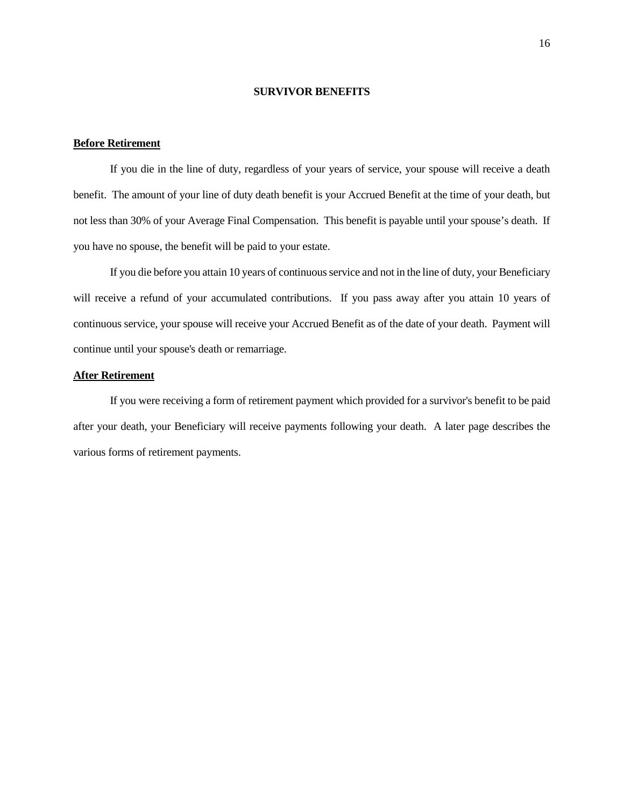### **SURVIVOR BENEFITS**

### **Before Retirement**

If you die in the line of duty, regardless of your years of service, your spouse will receive a death benefit. The amount of your line of duty death benefit is your Accrued Benefit at the time of your death, but not less than 30% of your Average Final Compensation. This benefit is payable until your spouse's death. If you have no spouse, the benefit will be paid to your estate.

If you die before you attain 10 years of continuous service and not in the line of duty, your Beneficiary will receive a refund of your accumulated contributions. If you pass away after you attain 10 years of continuous service, your spouse will receive your Accrued Benefit as of the date of your death. Payment will continue until your spouse's death or remarriage.

## **After Retirement**

If you were receiving a form of retirement payment which provided for a survivor's benefit to be paid after your death, your Beneficiary will receive payments following your death. A later page describes the various forms of retirement payments.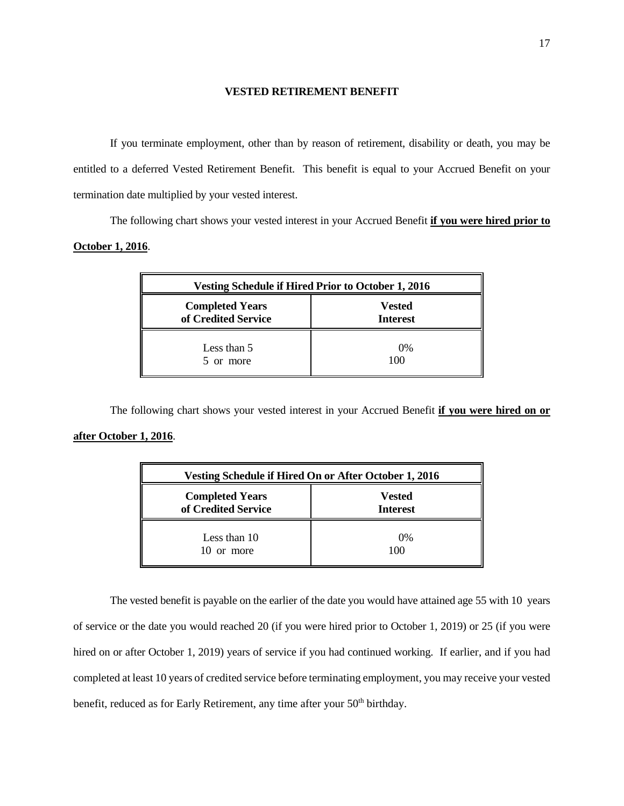## **VESTED RETIREMENT BENEFIT**

If you terminate employment, other than by reason of retirement, disability or death, you may be entitled to a deferred Vested Retirement Benefit. This benefit is equal to your Accrued Benefit on your termination date multiplied by your vested interest.

The following chart shows your vested interest in your Accrued Benefit **if you were hired prior to** 

# **October 1, 2016**.

| <b>Vesting Schedule if Hired Prior to October 1, 2016</b> |                 |  |  |
|-----------------------------------------------------------|-----------------|--|--|
| <b>Completed Years</b>                                    | <b>Vested</b>   |  |  |
| of Credited Service                                       | <b>Interest</b> |  |  |
| Less than 5                                               | $0\%$           |  |  |
| 5 or more                                                 | 100             |  |  |

The following chart shows your vested interest in your Accrued Benefit **if you were hired on or after October 1, 2016**.

| Vesting Schedule if Hired On or After October 1, 2016 |                 |  |  |  |
|-------------------------------------------------------|-----------------|--|--|--|
| <b>Completed Years</b>                                | Vested          |  |  |  |
| of Credited Service                                   | <b>Interest</b> |  |  |  |
| Less than 10                                          | $0\%$           |  |  |  |
| 10 or more                                            | 100             |  |  |  |

The vested benefit is payable on the earlier of the date you would have attained age 55 with 10 years of service or the date you would reached 20 (if you were hired prior to October 1, 2019) or 25 (if you were hired on or after October 1, 2019) years of service if you had continued working. If earlier, and if you had completed at least 10 years of credited service before terminating employment, you may receive your vested benefit, reduced as for Early Retirement, any time after your 50<sup>th</sup> birthday.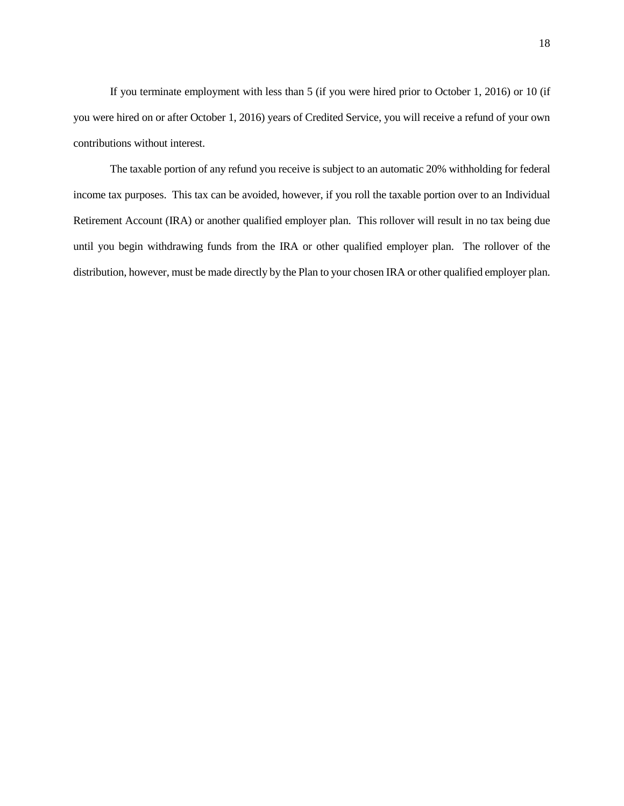If you terminate employment with less than 5 (if you were hired prior to October 1, 2016) or 10 (if you were hired on or after October 1, 2016) years of Credited Service, you will receive a refund of your own contributions without interest.

The taxable portion of any refund you receive is subject to an automatic 20% withholding for federal income tax purposes. This tax can be avoided, however, if you roll the taxable portion over to an Individual Retirement Account (IRA) or another qualified employer plan. This rollover will result in no tax being due until you begin withdrawing funds from the IRA or other qualified employer plan. The rollover of the distribution, however, must be made directly by the Plan to your chosen IRA or other qualified employer plan.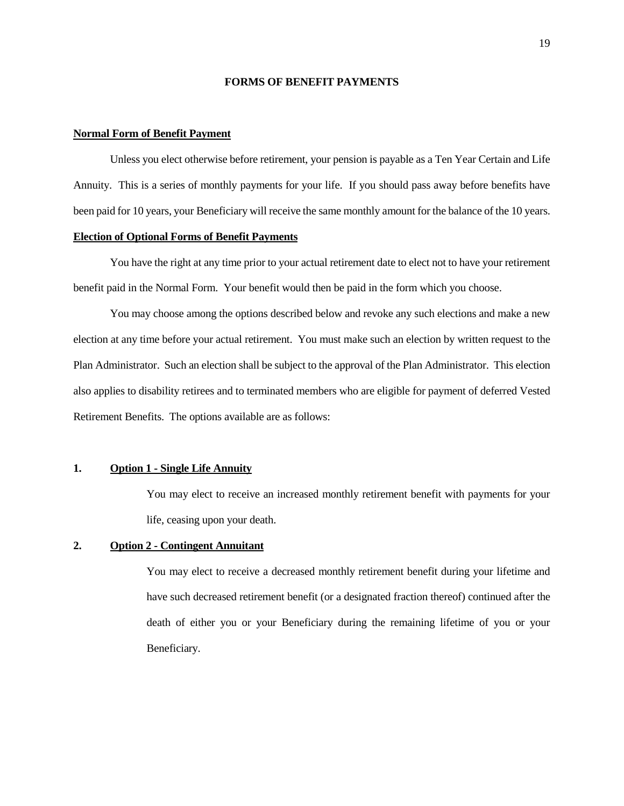#### **FORMS OF BENEFIT PAYMENTS**

#### **Normal Form of Benefit Payment**

Unless you elect otherwise before retirement, your pension is payable as a Ten Year Certain and Life Annuity. This is a series of monthly payments for your life. If you should pass away before benefits have been paid for 10 years, your Beneficiary will receive the same monthly amount for the balance of the 10 years.

### **Election of Optional Forms of Benefit Payments**

You have the right at any time prior to your actual retirement date to elect not to have your retirement benefit paid in the Normal Form. Your benefit would then be paid in the form which you choose.

You may choose among the options described below and revoke any such elections and make a new election at any time before your actual retirement. You must make such an election by written request to the Plan Administrator. Such an election shall be subject to the approval of the Plan Administrator. This election also applies to disability retirees and to terminated members who are eligible for payment of deferred Vested Retirement Benefits. The options available are as follows:

### **1. Option 1 - Single Life Annuity**

You may elect to receive an increased monthly retirement benefit with payments for your life, ceasing upon your death.

## **2. Option 2 - Contingent Annuitant**

You may elect to receive a decreased monthly retirement benefit during your lifetime and have such decreased retirement benefit (or a designated fraction thereof) continued after the death of either you or your Beneficiary during the remaining lifetime of you or your Beneficiary.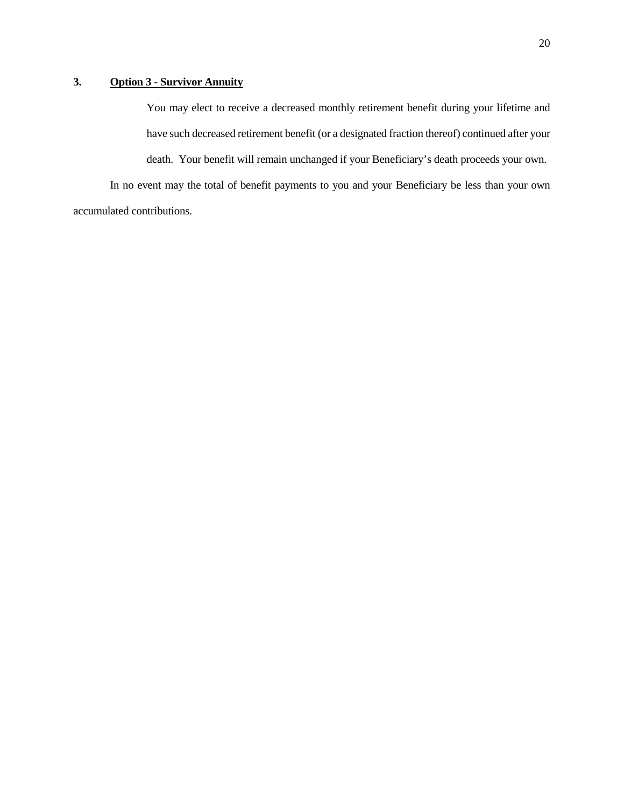## **3. Option 3 - Survivor Annuity**

You may elect to receive a decreased monthly retirement benefit during your lifetime and have such decreased retirement benefit (or a designated fraction thereof) continued after your death. Your benefit will remain unchanged if your Beneficiary's death proceeds your own. In no event may the total of benefit payments to you and your Beneficiary be less than your own

accumulated contributions.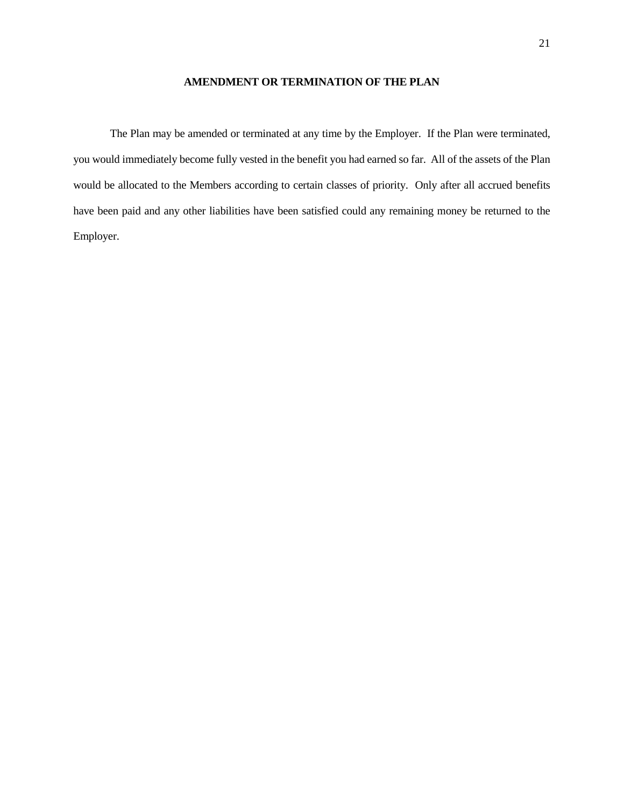## **AMENDMENT OR TERMINATION OF THE PLAN**

The Plan may be amended or terminated at any time by the Employer. If the Plan were terminated, you would immediately become fully vested in the benefit you had earned so far. All of the assets of the Plan would be allocated to the Members according to certain classes of priority. Only after all accrued benefits have been paid and any other liabilities have been satisfied could any remaining money be returned to the Employer.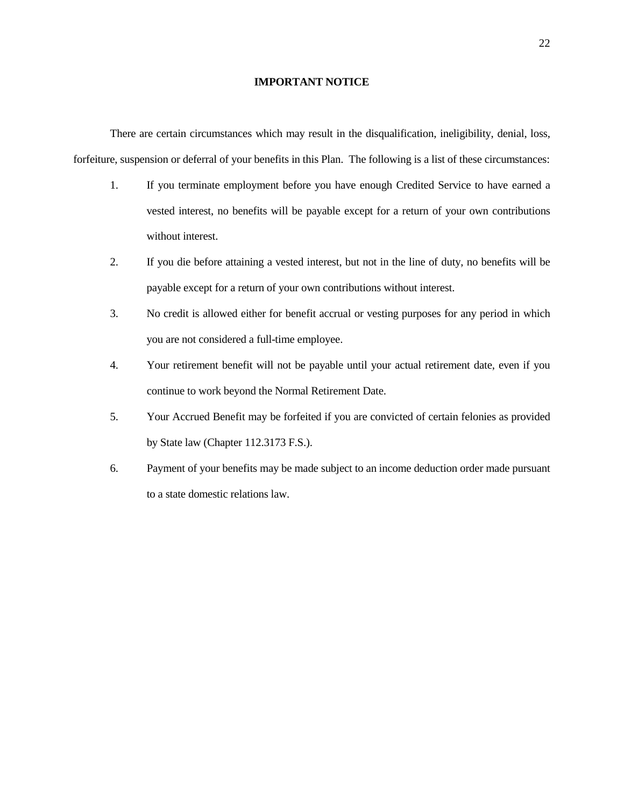#### **IMPORTANT NOTICE**

There are certain circumstances which may result in the disqualification, ineligibility, denial, loss, forfeiture, suspension or deferral of your benefits in this Plan. The following is a list of these circumstances:

- 1. If you terminate employment before you have enough Credited Service to have earned a vested interest, no benefits will be payable except for a return of your own contributions without interest.
- 2. If you die before attaining a vested interest, but not in the line of duty, no benefits will be payable except for a return of your own contributions without interest.
- 3. No credit is allowed either for benefit accrual or vesting purposes for any period in which you are not considered a full-time employee.
- 4. Your retirement benefit will not be payable until your actual retirement date, even if you continue to work beyond the Normal Retirement Date.
- 5. Your Accrued Benefit may be forfeited if you are convicted of certain felonies as provided by State law (Chapter 112.3173 F.S.).
- 6. Payment of your benefits may be made subject to an income deduction order made pursuant to a state domestic relations law.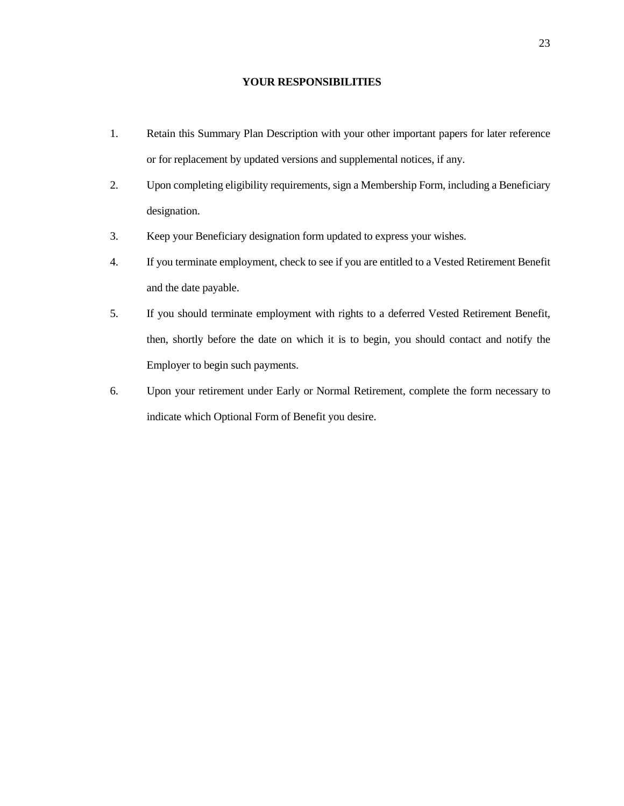## **YOUR RESPONSIBILITIES**

- 1. Retain this Summary Plan Description with your other important papers for later reference or for replacement by updated versions and supplemental notices, if any.
- 2. Upon completing eligibility requirements, sign a Membership Form, including a Beneficiary designation.
- 3. Keep your Beneficiary designation form updated to express your wishes.
- 4. If you terminate employment, check to see if you are entitled to a Vested Retirement Benefit and the date payable.
- 5. If you should terminate employment with rights to a deferred Vested Retirement Benefit, then, shortly before the date on which it is to begin, you should contact and notify the Employer to begin such payments.
- 6. Upon your retirement under Early or Normal Retirement, complete the form necessary to indicate which Optional Form of Benefit you desire.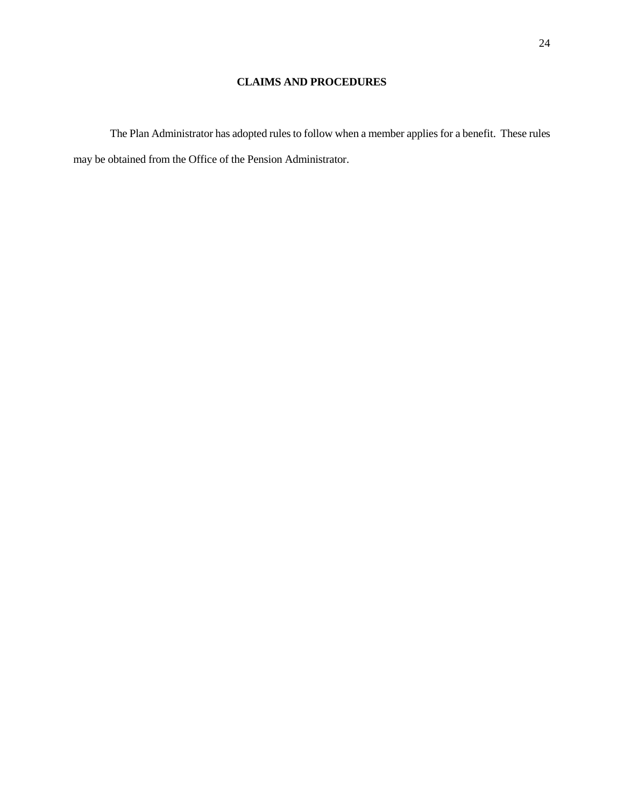## **CLAIMS AND PROCEDURES**

The Plan Administrator has adopted rules to follow when a member applies for a benefit. These rules may be obtained from the Office of the Pension Administrator.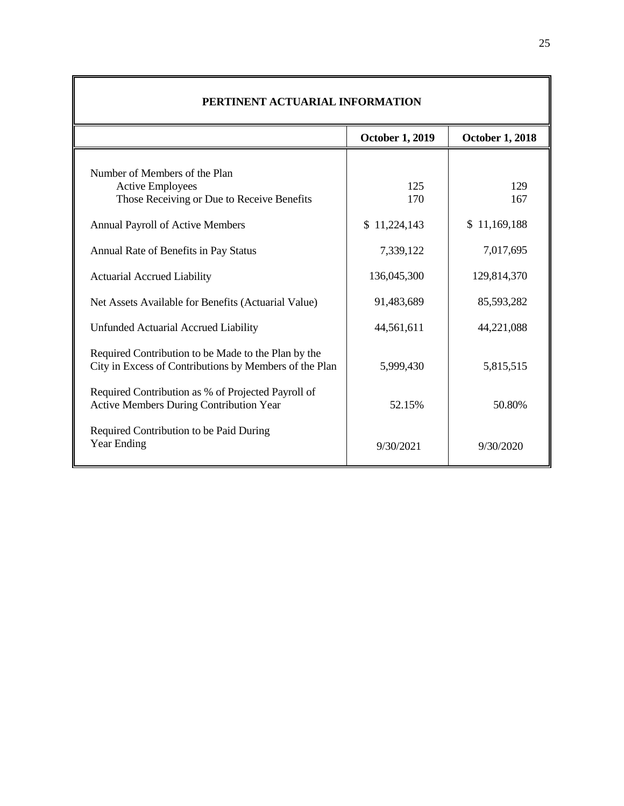| PERTINENT ACTUARIAL INFORMATION                                                                               |                        |                        |  |  |  |  |
|---------------------------------------------------------------------------------------------------------------|------------------------|------------------------|--|--|--|--|
|                                                                                                               | <b>October 1, 2019</b> | <b>October 1, 2018</b> |  |  |  |  |
| Number of Members of the Plan<br><b>Active Employees</b><br>Those Receiving or Due to Receive Benefits        | 125<br>170             | 129<br>167             |  |  |  |  |
| <b>Annual Payroll of Active Members</b>                                                                       | \$11,224,143           | \$11,169,188           |  |  |  |  |
| Annual Rate of Benefits in Pay Status                                                                         | 7,339,122              | 7,017,695              |  |  |  |  |
| <b>Actuarial Accrued Liability</b>                                                                            | 136,045,300            | 129,814,370            |  |  |  |  |
| Net Assets Available for Benefits (Actuarial Value)                                                           | 91,483,689             | 85,593,282             |  |  |  |  |
| <b>Unfunded Actuarial Accrued Liability</b>                                                                   | 44,561,611             | 44,221,088             |  |  |  |  |
| Required Contribution to be Made to the Plan by the<br>City in Excess of Contributions by Members of the Plan | 5,999,430              | 5,815,515              |  |  |  |  |
| Required Contribution as % of Projected Payroll of<br><b>Active Members During Contribution Year</b>          | 52.15%                 | 50.80%                 |  |  |  |  |
| Required Contribution to be Paid During<br><b>Year Ending</b>                                                 | 9/30/2021              | 9/30/2020              |  |  |  |  |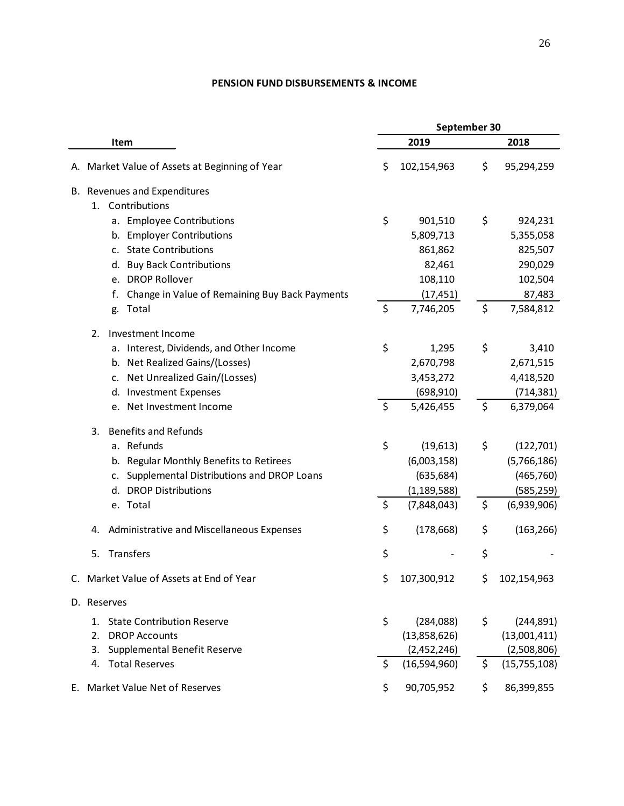## **PENSION FUND DISBURSEMENTS & INCOME**

|                                                   |    | September 30  |    |              |  |
|---------------------------------------------------|----|---------------|----|--------------|--|
| Item                                              |    | 2019          |    | 2018         |  |
| A. Market Value of Assets at Beginning of Year    | \$ | 102,154,963   | \$ | 95,294,259   |  |
| <b>B.</b> Revenues and Expenditures               |    |               |    |              |  |
| Contributions<br>1.                               |    |               |    |              |  |
| a. Employee Contributions                         | \$ | 901,510       | \$ | 924,231      |  |
| b. Employer Contributions                         |    | 5,809,713     |    | 5,355,058    |  |
| c. State Contributions                            |    | 861,862       |    | 825,507      |  |
| d. Buy Back Contributions                         |    | 82,461        |    | 290,029      |  |
| e. DROP Rollover                                  |    | 108,110       |    | 102,504      |  |
| f. Change in Value of Remaining Buy Back Payments |    | (17, 451)     |    | 87,483       |  |
| g. Total                                          | \$ | 7,746,205     | \$ | 7,584,812    |  |
| 2.<br>Investment Income                           |    |               |    |              |  |
| a. Interest, Dividends, and Other Income          | \$ | 1,295         | \$ | 3,410        |  |
| b. Net Realized Gains/(Losses)                    |    | 2,670,798     |    | 2,671,515    |  |
| c. Net Unrealized Gain/(Losses)                   |    | 3,453,272     |    | 4,418,520    |  |
| d. Investment Expenses                            |    | (698, 910)    |    | (714, 381)   |  |
| e. Net Investment Income                          | \$ | 5,426,455     | \$ | 6,379,064    |  |
| <b>Benefits and Refunds</b><br>3.                 |    |               |    |              |  |
| a. Refunds                                        | \$ | (19,613)      | \$ | (122,701)    |  |
| b. Regular Monthly Benefits to Retirees           |    | (6,003,158)   |    | (5,766,186)  |  |
| c. Supplemental Distributions and DROP Loans      |    | (635, 684)    |    | (465, 760)   |  |
| d. DROP Distributions                             |    | (1, 189, 588) |    | (585, 259)   |  |
| e. Total                                          | \$ | (7,848,043)   | \$ | (6,939,906)  |  |
| Administrative and Miscellaneous Expenses<br>4.   | \$ | (178, 668)    | \$ | (163, 266)   |  |
| Transfers<br>5.                                   | \$ |               | \$ |              |  |
| C. Market Value of Assets at End of Year          | Ş  | 107,300,912   | Ş. | 102,154,963  |  |
| D. Reserves                                       |    |               |    |              |  |
| 1. State Contribution Reserve                     | \$ | (284,088)     | \$ | (244, 891)   |  |
| 2.<br><b>DROP Accounts</b>                        |    | (13,858,626)  |    | (13,001,411) |  |
| 3.<br>Supplemental Benefit Reserve                |    | (2,452,246)   |    | (2,508,806)  |  |
| 4. Total Reserves                                 | \$ | (16,594,960)  | \$ | (15,755,108) |  |
| Market Value Net of Reserves<br>Е.                | \$ | 90,705,952    | \$ | 86,399,855   |  |